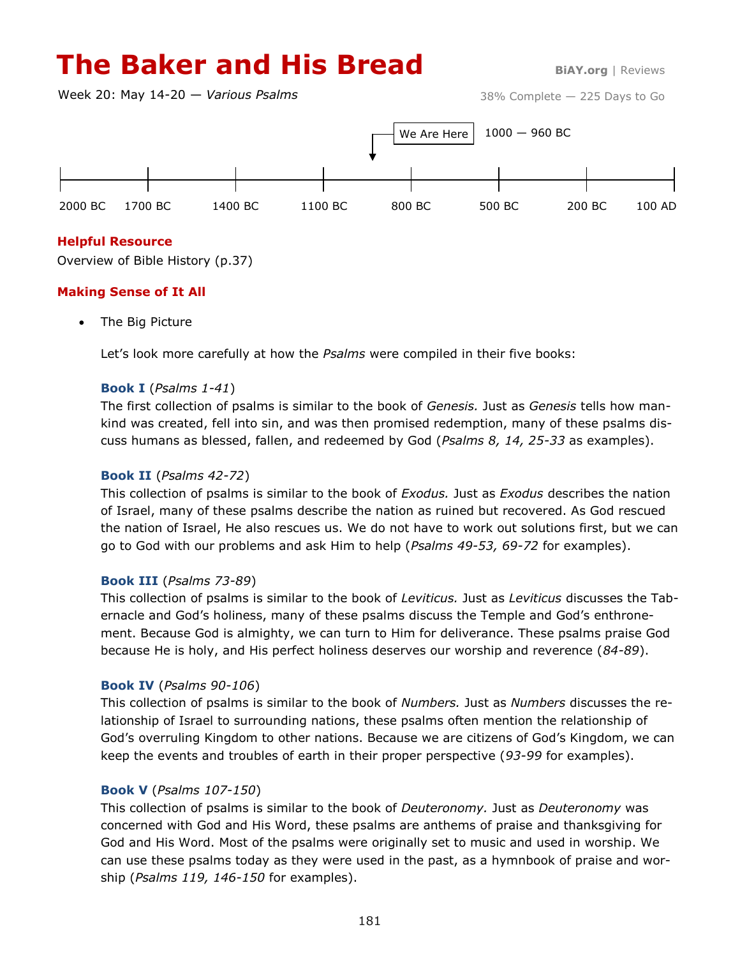# **The Baker and His Bread BiAY.org** | Reviews

Week 20: May 14-20 — *Various Psalms*



## **Helpful Resource**

Overview of Bible History (p.37)

## **Making Sense of It All**

The Big Picture

Let's look more carefully at how the *Psalms* were compiled in their five books:

#### **Book I** (*Psalms 1-41*)

The first collection of psalms is similar to the book of *Genesis.* Just as *Genesis* tells how mankind was created, fell into sin, and was then promised redemption, many of these psalms discuss humans as blessed, fallen, and redeemed by God (*Psalms 8, 14, 25-33* as examples).

# **Book II** (*Psalms 42-72*)

This collection of psalms is similar to the book of *Exodus.* Just as *Exodus* describes the nation of Israel, many of these psalms describe the nation as ruined but recovered. As God rescued the nation of Israel, He also rescues us. We do not have to work out solutions first, but we can go to God with our problems and ask Him to help (*Psalms 49-53, 69-72* for examples).

#### **Book III** (*Psalms 73-89*)

This collection of psalms is similar to the book of *Leviticus.* Just as *Leviticus* discusses the Tabernacle and God's holiness, many of these psalms discuss the Temple and God's enthronement. Because God is almighty, we can turn to Him for deliverance. These psalms praise God because He is holy, and His perfect holiness deserves our worship and reverence (*84-89*).

#### **Book IV** (*Psalms 90-106*)

This collection of psalms is similar to the book of *Numbers.* Just as *Numbers* discusses the relationship of Israel to surrounding nations, these psalms often mention the relationship of God's overruling Kingdom to other nations. Because we are citizens of God's Kingdom, we can keep the events and troubles of earth in their proper perspective (*93-99* for examples).

# **Book V** (*Psalms 107-150*)

This collection of psalms is similar to the book of *Deuteronomy.* Just as *Deuteronomy* was concerned with God and His Word, these psalms are anthems of praise and thanksgiving for God and His Word. Most of the psalms were originally set to music and used in worship. We can use these psalms today as they were used in the past, as a hymnbook of praise and worship (*Psalms 119, 146-150* for examples).